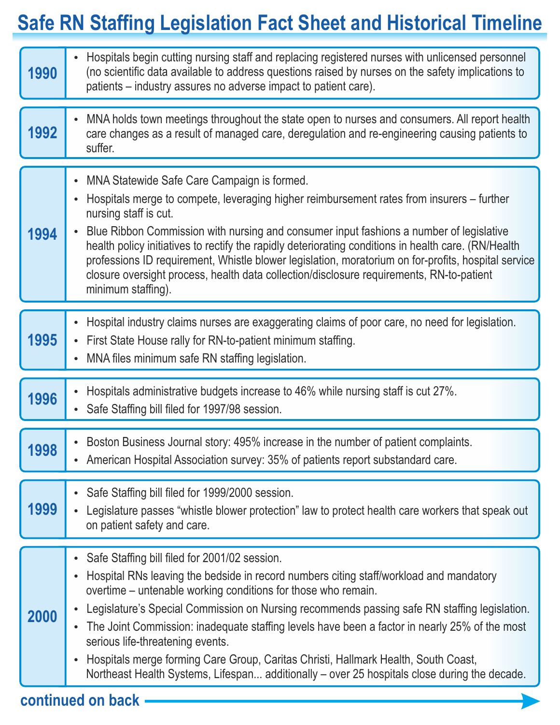## **Safe RN Staffing Legislation Fact Sheet and Historical Timeline**

| 1990 | Hospitals begin cutting nursing staff and replacing registered nurses with unlicensed personnel<br>$\bullet$<br>(no scientific data available to address questions raised by nurses on the safety implications to<br>patients – industry assures no adverse impact to patient care).                                                                                                                                                                                                                                                                                                                                                                                                                 |
|------|------------------------------------------------------------------------------------------------------------------------------------------------------------------------------------------------------------------------------------------------------------------------------------------------------------------------------------------------------------------------------------------------------------------------------------------------------------------------------------------------------------------------------------------------------------------------------------------------------------------------------------------------------------------------------------------------------|
| 1992 | MNA holds town meetings throughout the state open to nurses and consumers. All report health<br>$\bullet$<br>care changes as a result of managed care, deregulation and re-engineering causing patients to<br>suffer.                                                                                                                                                                                                                                                                                                                                                                                                                                                                                |
| 1994 | MNA Statewide Safe Care Campaign is formed.<br>$\bullet$<br>Hospitals merge to compete, leveraging higher reimbursement rates from insurers – further<br>$\bullet$<br>nursing staff is cut.<br>Blue Ribbon Commission with nursing and consumer input fashions a number of legislative<br>$\bullet$<br>health policy initiatives to rectify the rapidly deteriorating conditions in health care. (RN/Health<br>professions ID requirement, Whistle blower legislation, moratorium on for-profits, hospital service<br>closure oversight process, health data collection/disclosure requirements, RN-to-patient<br>minimum staffing).                                                                 |
| 1995 | Hospital industry claims nurses are exaggerating claims of poor care, no need for legislation.<br>$\bullet$<br>First State House rally for RN-to-patient minimum staffing.<br>$\bullet$<br>MNA files minimum safe RN staffing legislation.<br>$\bullet$                                                                                                                                                                                                                                                                                                                                                                                                                                              |
| 1996 | Hospitals administrative budgets increase to 46% while nursing staff is cut 27%.<br>$\bullet$<br>Safe Staffing bill filed for 1997/98 session.<br>$\bullet$                                                                                                                                                                                                                                                                                                                                                                                                                                                                                                                                          |
| 1998 | Boston Business Journal story: 495% increase in the number of patient complaints.<br>$\bullet$<br>American Hospital Association survey: 35% of patients report substandard care.                                                                                                                                                                                                                                                                                                                                                                                                                                                                                                                     |
| 1999 | Safe Staffing bill filed for 1999/2000 session.<br>$\bullet$<br>Legislature passes "whistle blower protection" law to protect health care workers that speak out<br>$\bullet$<br>on patient safety and care.                                                                                                                                                                                                                                                                                                                                                                                                                                                                                         |
| 2000 | Safe Staffing bill filed for 2001/02 session.<br>$\bullet$<br>Hospital RNs leaving the bedside in record numbers citing staff/workload and mandatory<br>$\bullet$<br>overtime – untenable working conditions for those who remain.<br>Legislature's Special Commission on Nursing recommends passing safe RN staffing legislation.<br>$\bullet$<br>The Joint Commission: inadequate staffing levels have been a factor in nearly 25% of the most<br>$\bullet$<br>serious life-threatening events.<br>Hospitals merge forming Care Group, Caritas Christi, Hallmark Health, South Coast,<br>$\bullet$<br>Northeast Health Systems, Lifespan additionally – over 25 hospitals close during the decade. |

## **continued on back**